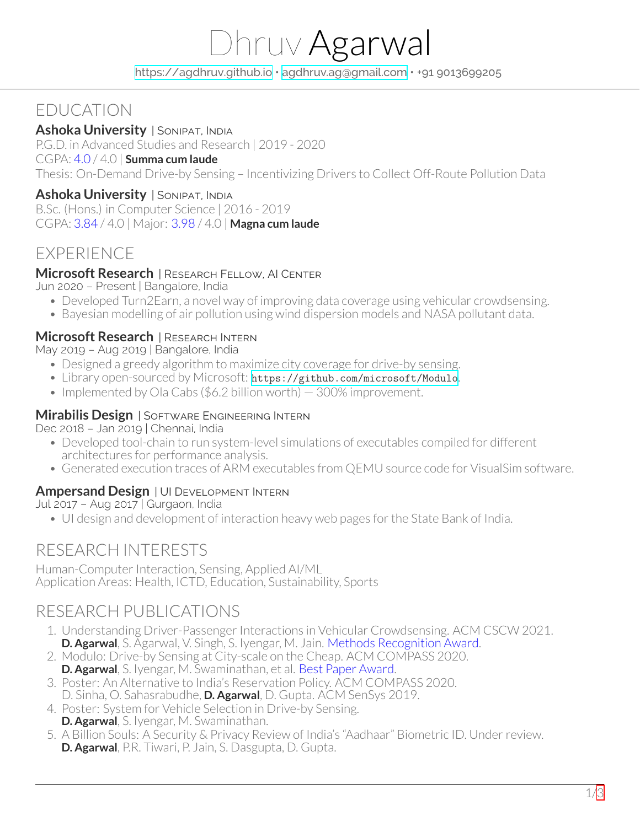# Dhruv Agarwal

<https://agdhruv.github.io> • [agdhruv.ag@gmail.com](mailto:agdhruv.ag@gmail.com) • +91 9013699205

# EDUCATION

#### **Ashoka University** | SONIPAT, INDIA

P.G.D. in Advanced Studies and Research | 2019 - 2020

#### CGPA: 4.0 / 4.0 | **Summa cum laude**

Thesis: On-Demand Drive-by Sensing – Incentivizing Drivers to Collect Off-Route Pollution Data

#### **Ashoka University** | SONIPAT, INDIA

B.Sc. (Hons.) in Computer Science | 2016 - 2019 CGPA: 3.84 / 4.0 | Major: 3.98 / 4.0 | **Magna cum laude**

## EXPERIENCE

#### **Microsoft Research** | RESEARCH FELLOW, AI CENTER

Jun 2020 – Present | Bangalore, India

- Developed Turn2Earn, a novel way of improving data coverage using vehicular crowdsensing.
- Bayesian modelling of air pollution using wind dispersion models and NASA pollutant data.

#### **Microsoft Research** | RESEARCH INTERN

May 2019 – Aug 2019 | Bangalore, India

- Designed a greedy algorithm to maximize city coverage for drive-by sensing.
- Library open-sourced by Microsoft: <https://github.com/microsoft/Modulo>.
- Implemented by Ola Cabs (\$6.2 billion worth)  $-$  300% improvement.

#### **Mirabilis Design** | SOFTWARE ENGINEERING INTERN

Dec 2018 – Jan 2019 | Chennai, India

- Developed tool-chain to run system-level simulations of executables compiled for different architectures for performance analysis.
- Generated execution traces of ARM executables from QEMU source code for VisualSim software.

#### **Ampersand Design** | UI DEVELOPMENT INTERN

Jul 2017 – Aug 2017 | Gurgaon, India

• UI design and development of interaction heavy web pages for the State Bank of India.

## RESEARCH INTERESTS

Human-Computer Interaction, Sensing, Applied AI/ML Application Areas: Health, ICTD, Education, Sustainability, Sports

## RESEARCH PUBLICATIONS

- 1. Understanding Driver-Passenger Interactions in Vehicular Crowdsensing. ACM CSCW 2021. **D. Agarwal**, S. Agarwal, V. Singh, S. Iyengar, M. Jain. Methods Recognition Award.
- 2. Modulo: Drive-by Sensing at City-scale on the Cheap. ACM COMPASS 2020. **D. Agarwal**, S. Iyengar, M. Swaminathan, et al. Best Paper Award.
- 3. Poster: An Alternative to India's Reservation Policy. ACM COMPASS 2020.
- D. Sinha, O. Sahasrabudhe, **D. Agarwal**, D. Gupta. ACM SenSys 2019.
- 4. Poster: System for Vehicle Selection in Drive-by Sensing. **D. Agarwal**, S. Iyengar, M. Swaminathan.
- 5. A Billion Souls: A Security & Privacy Review of India's "Aadhaar" Biometric ID. Underreview. **D. Agarwal**, P.R. Tiwari, P. Jain, S. Dasgupta, D. Gupta.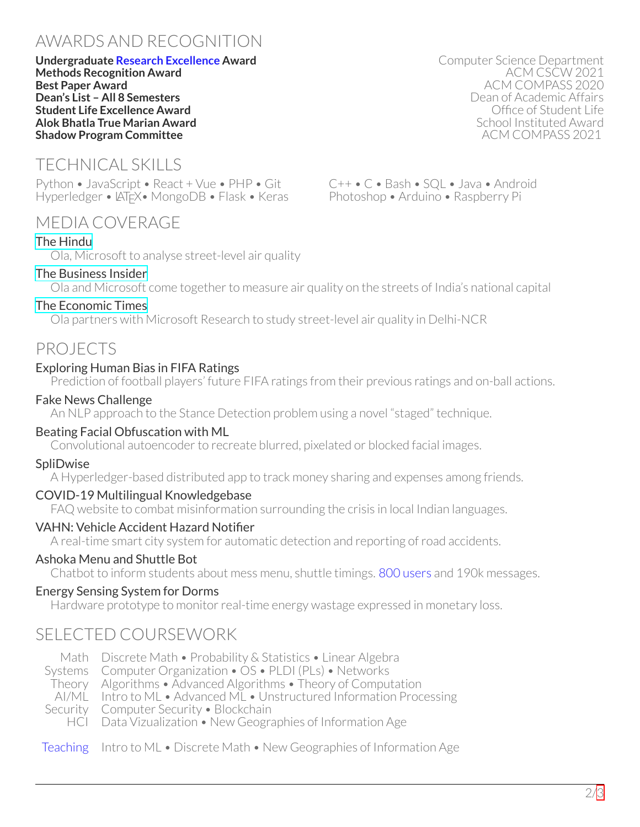# AWARDS AND RECOGNITION

**Undergraduate Research Excellence Award** Computer Science Department **Methods Recognition Award**<br>**Best Paper Award Dean's List – All 8 Semesters** Dean of Academic Affairs **Student Life Excellence Award** Office of Student Life **Alok Bhatla True Marian Award** School Instituted Award **Shadow Program Committee** 

# TECHNICAL SKILLS

Python • JavaScript • React + Vue • PHP • Git Hyperledger • LATEX • MongoDB • Flask • Keras

## MEDIA COVERAGE

#### [The Hindu](https://www.thehindu.com/news/cities/Delhi/ola-microsoft-to-analyse-street-level-air-quality/article30011076.ece)

Ola, Microsoft to analyse street-level air quality

#### [The Business Insider](https://www.businessinsider.in/business/startups/news/ola-and-microsoft-come-together-to-measure-air-quality-index-in-delhi-to-study-air-pollution/articleshow/72105729.cms)

Ola and Microsoft come together to measure air quality on the streets of India's national capital

## [The Economic Times](https://economictimes.indiatimes.com/news/politics-and-nation/ola-partners-with-microsoft-research-to-study-street-level-air-quality-in-delhi-ncr/articleshow/72113952.cms?from=mdr)

Ola partners with Microsoft Research to study street-level air quality in Delhi-NCR

## PROJECTS

#### Exploring Human Bias in FIFA Ratings

Prediction of football players' future FIFA ratings from their previous ratings and on-ball actions.

#### Fake News Challenge

An NLP approach to the Stance Detection problem using a novel "staged" technique.

#### Beating Facial Obfuscation with ML

Convolutional autoencoder to recreate blurred, pixelated or blocked facial images.

#### **SpliDwise**

A Hyperledger-based distributed app to track money sharing and expenses among friends.

#### COVID-19 Multilingual Knowledgebase

FAQ website to combat misinformation surrounding the crisis in local Indian languages.

#### VAHN: Vehicle Accident Hazard Notifier

A real-time smart city system for automatic detection and reporting of road accidents.

#### Ashoka Menu and Shuttle Bot

Chatbot to inform students about mess menu, shuttle timings. 800 users and 190k messages.

## Energy Sensing System for Dorms

Hardware prototype to monitor real-time energy wastage expressed in monetary loss.

## SELECTED COURSEWORK

Math Discrete Math • Probability & Statistics • Linear Algebra

Systems Computer Organization • OS • PLDI (PLs) • Networks

Theory Algorithms • Advanced Algorithms • Theory of Computation

AI/ML Intro to ML • Advanced ML • Unstructured Information Processing

- Security Computer Security Blockchain
	- HCI Data Vizualization New Geographies of Information Age

#### Teaching Intro to ML • Discrete Math • New Geographies of Information Age

**Best Paper Award** ACM COMPASS 2020

C++ • C • Bash • SQL • Java • Android Photoshop • Arduino • Raspberry Pi